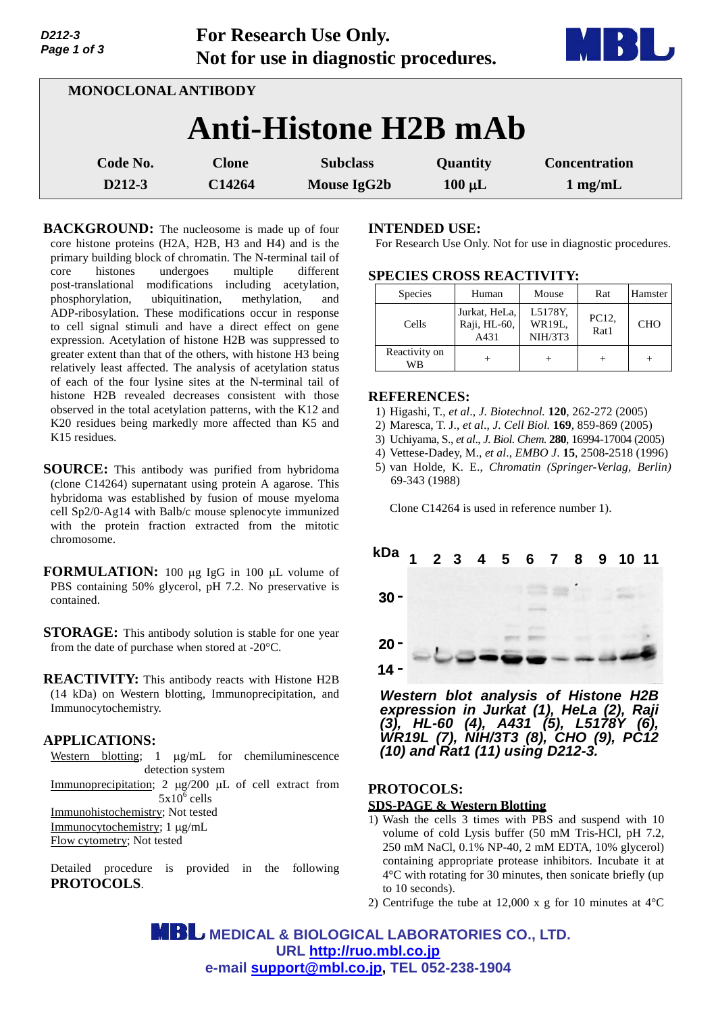| Page 1 of 3<br>Not for use in diagnostic procedures. |                                |                         |                                   |  |  |  |  |
|------------------------------------------------------|--------------------------------|-------------------------|-----------------------------------|--|--|--|--|
| <b>MONOCLONAL ANTIBODY</b>                           |                                |                         |                                   |  |  |  |  |
| <b>Anti-Histone H2B mAb</b>                          |                                |                         |                                   |  |  |  |  |
| <b>Clone</b><br>C14264                               | <b>Subclass</b><br>Mouse IgG2b | Quantity<br>$100 \mu L$ | <b>Concentration</b><br>$1$ mg/mL |  |  |  |  |
|                                                      |                                |                         |                                   |  |  |  |  |

**For Research Use Only.**

**BACKGROUND:** The nucleosome is made up of four core histone proteins (H2A, H2B, H3 and H4) and is the primary building block of chromatin. The N-terminal tail of core histones undergoes multiple different post-translational modifications including acetylation, phosphorylation, ubiquitination, methylation, and ADP-ribosylation. These modifications occur in response to cell signal stimuli and have a direct effect on gene expression. Acetylation of histone H2B was suppressed to greater extent than that of the others, with histone H3 being relatively least affected. The analysis of acetylation status of each of the four lysine sites at the N-terminal tail of histone H2B revealed decreases consistent with those observed in the total acetylation patterns, with the K12 and K20 residues being markedly more affected than K5 and K15 residues.

**SOURCE:** This antibody was purified from hybridoma (clone C14264) supernatant using protein A agarose. This hybridoma was established by fusion of mouse myeloma cell Sp2/0-Ag14 with Balb/c mouse splenocyte immunized with the protein fraction extracted from the mitotic chromosome.

**FORMULATION:** 100 µg IgG in 100 µL volume of PBS containing 50% glycerol, pH 7.2. No preservative is contained.

**STORAGE:** This antibody solution is stable for one year from the date of purchase when stored at -20°C.

**REACTIVITY:** This antibody reacts with Histone H2B (14 kDa) on Western blotting, Immunoprecipitation, and Immunocytochemistry.

### **APPLICATIONS:**

*D212-3*

Western blotting;  $1 \mu g/mL$  for chemiluminescence detection system Immunoprecipitation;  $2 \mu g/200 \mu L$  of cell extract from  $5x10^6$  cells Immunohistochemistry; Not tested Immunocytochemistry; 1 µg/mL Flow cytometry; Not tested

Detailed procedure is provided in the following **PROTOCOLS**.

## **INTENDED USE:**

For Research Use Only. Not for use in diagnostic procedures.

### **SPECIES CROSS REACTIVITY:**

| Species             | Human                                 | Mouse                        | Rat           | Hamster    |
|---------------------|---------------------------------------|------------------------------|---------------|------------|
| Cells               | Jurkat, HeLa,<br>Raji, HL-60,<br>A431 | L5178Y,<br>WR19L.<br>NIH/3T3 | PC12,<br>Rat1 | <b>CHO</b> |
| Reactivity on<br>WB |                                       |                              |               |            |

#### **REFERENCES:**

- 1) Higashi, T., *et al*., *J. Biotechnol.* **120**, 262-272 (2005)
- 2) Maresca, T. J., *et al*., *J. Cell Biol.* **169**, 859-869 (2005)
- 3) Uchiyama, S., *et al*., *J. Biol. Chem.* **280**, 16994-17004 (2005)
- 4) Vettese-Dadey, M., *et al*., *EMBO J*. **15**, 2508-2518 (1996)
- 5) van Holde, K. E., *Chromatin (Springer-Verlag, Berlin)* 69-343 (1988)

Clone C14264 is used in reference number 1).



*Western blot analysis of Histone H2B expression in Jurkat (1), HeLa (2), Raji (3), HL-60 (4), A431 (5), L5178Y (6), WR19L (7), NIH/3T3 (8), CHO (9), PC12 (10) and Rat1 (11) using D212-3.*

# **PROTOCOLS:**

### **SDS-PAGE & Western Blotting**

- 1) Wash the cells 3 times with PBS and suspend with 10 volume of cold Lysis buffer (50 mM Tris-HCl, pH 7.2, 250 mM NaCl, 0.1% NP-40, 2 mM EDTA, 10% glycerol) containing appropriate protease inhibitors. Incubate it at 4°C with rotating for 30 minutes, then sonicate briefly (up to 10 seconds).
- 2) Centrifuge the tube at 12,000 x g for 10 minutes at 4°C

**MBL** MEDICAL & BIOLOGICAL LABORATORIES CO., LTD. **URL <http://ruo.mbl.co.jp> e-mail [support@mbl.co.jp,](mailto:support@mbl.co.jp) TEL 052-238-1904**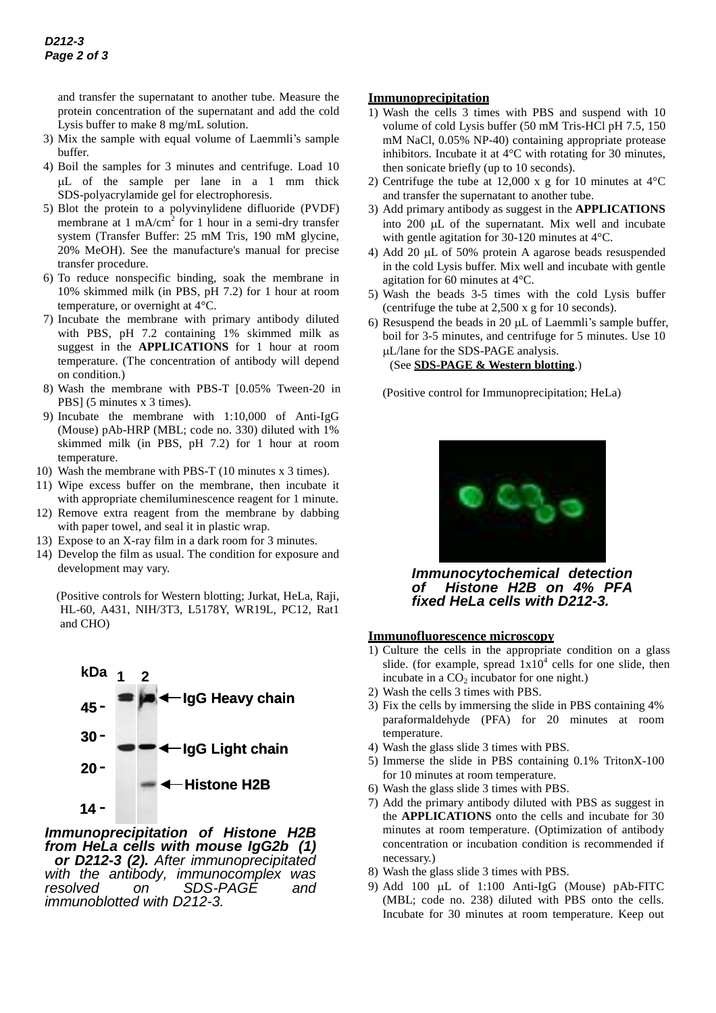and transfer the supernatant to another tube. Measure the protein concentration of the supernatant and add the cold Lysis buffer to make 8 mg/mL solution.

- 3) Mix the sample with equal volume of Laemmli's sample buffer.
- 4) Boil the samples for 3 minutes and centrifuge. Load 10 L of the sample per lane in a 1 mm thick SDS-polyacrylamide gel for electrophoresis.
- 5) Blot the protein to a polyvinylidene difluoride (PVDF) membrane at 1 mA/cm<sup>2</sup> for 1 hour in a semi-dry transfer system (Transfer Buffer: 25 mM Tris, 190 mM glycine, 20% MeOH). See the manufacture's manual for precise transfer procedure.
- 6) To reduce nonspecific binding, soak the membrane in 10% skimmed milk (in PBS, pH 7.2) for 1 hour at room temperature, or overnight at 4°C.
- 7) Incubate the membrane with primary antibody diluted with PBS, pH 7.2 containing 1% skimmed milk as suggest in the **APPLICATIONS** for 1 hour at room temperature. (The concentration of antibody will depend on condition.)
- 8) Wash the membrane with PBS-T [0.05% Tween-20 in PBS] (5 minutes x 3 times).
- 9) Incubate the membrane with 1:10,000 of Anti-IgG (Mouse) pAb-HRP (MBL; code no. 330) diluted with 1% skimmed milk (in PBS, pH 7.2) for 1 hour at room temperature.
- 10) Wash the membrane with PBS-T (10 minutes x 3 times).
- 11) Wipe excess buffer on the membrane, then incubate it with appropriate chemiluminescence reagent for 1 minute.
- 12) Remove extra reagent from the membrane by dabbing with paper towel, and seal it in plastic wrap.
- 13) Expose to an X-ray film in a dark room for 3 minutes.
- 14) Develop the film as usual. The condition for exposure and development may vary.

(Positive controls for Western blotting; Jurkat, HeLa, Raji, HL-60, A431, NIH/3T3, L5178Y, WR19L, PC12, Rat1 and CHO)



### *Immunoprecipitation of Histone H2B from HeLa cells with mouse IgG2b (1) or D212-3 (2). After immunoprecipitated with the antibody, immunocomplex was resolved on SDS-PAGE and immunoblotted with D212-3.*

## **Immunoprecipitation**

- 1) Wash the cells 3 times with PBS and suspend with 10 volume of cold Lysis buffer (50 mM Tris-HCl pH 7.5, 150 mM NaCl, 0.05% NP-40) containing appropriate protease inhibitors. Incubate it at 4°C with rotating for 30 minutes, then sonicate briefly (up to 10 seconds).
- 2) Centrifuge the tube at 12,000 x g for 10 minutes at  $4^{\circ}$ C and transfer the supernatant to another tube.
- 3) Add primary antibody as suggest in the **APPLICATIONS** into  $200 \mu L$  of the supernatant. Mix well and incubate with gentle agitation for 30-120 minutes at 4°C.
- 4) Add 20  $\mu$ L of 50% protein A agarose beads resuspended in the cold Lysis buffer. Mix well and incubate with gentle agitation for 60 minutes at 4°C.
- 5) Wash the beads 3-5 times with the cold Lysis buffer (centrifuge the tube at 2,500 x g for 10 seconds).
- 6) Resuspend the beads in 20  $\mu$ L of Laemmli's sample buffer, boil for 3-5 minutes, and centrifuge for 5 minutes. Use 10 L/lane for the SDS-PAGE analysis.

(See **SDS-PAGE & Western blotting**.)

(Positive control for Immunoprecipitation; HeLa)



*Immunocytochemical detection of Histone H2B on 4% PFA fixed HeLa cells with D212-3.*

### **Immunofluorescence microscopy**

- 1) Culture the cells in the appropriate condition on a glass slide. (for example, spread  $1x10^4$  cells for one slide, then incubate in a  $CO<sub>2</sub>$  incubator for one night.)
- 2) Wash the cells 3 times with PBS.
- 3) Fix the cells by immersing the slide in PBS containing 4% paraformaldehyde (PFA) for 20 minutes at room temperature.
- 4) Wash the glass slide 3 times with PBS.
- 5) Immerse the slide in PBS containing 0.1% TritonX-100 for 10 minutes at room temperature.
- 6) Wash the glass slide 3 times with PBS.
- 7) Add the primary antibody diluted with PBS as suggest in the **APPLICATIONS** onto the cells and incubate for 30 minutes at room temperature. (Optimization of antibody concentration or incubation condition is recommended if necessary.)
- 8) Wash the glass slide 3 times with PBS.
- 9) Add 100  $\mu$ L of 1:100 Anti-IgG (Mouse) pAb-FITC (MBL; code no. 238) diluted with PBS onto the cells. Incubate for 30 minutes at room temperature. Keep out